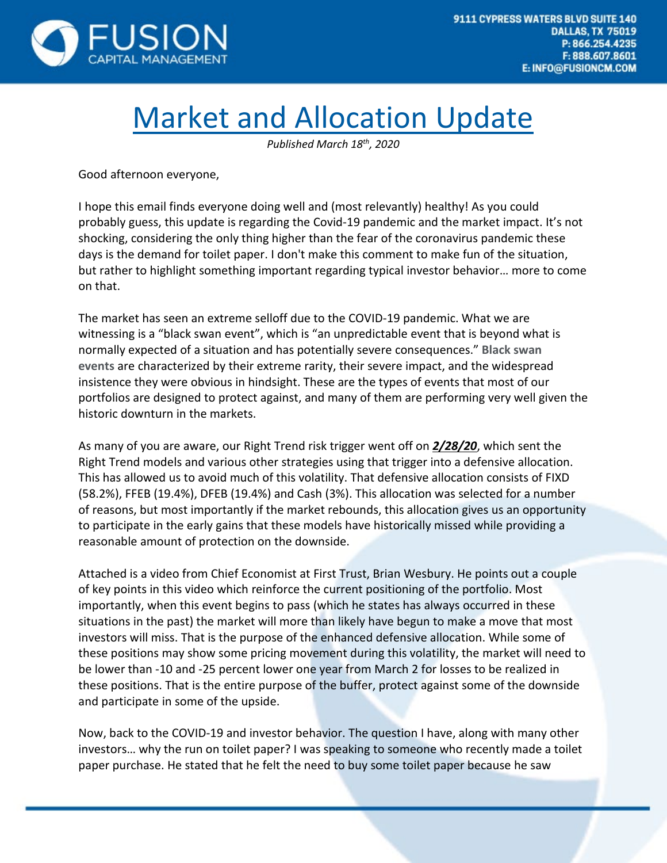

## Market and Allocation Update

*Published March 18th, 2020*

Good afternoon everyone,

I hope this email finds everyone doing well and (most relevantly) healthy! As you could probably guess, this update is regarding the Covid-19 pandemic and the market impact. It's not shocking, considering the only thing higher than the fear of the coronavirus pandemic these days is the demand for toilet paper. I don't make this comment to make fun of the situation, but rather to highlight something important regarding typical investor behavior… more to come on that.

The market has seen an extreme selloff due to the COVID-19 pandemic. What we are witnessing is a "black swan event", which is "an unpredictable event that is beyond what is normally expected of a situation and has potentially severe consequences." **Black swan events** are characterized by their extreme rarity, their severe impact, and the widespread insistence they were obvious in hindsight. These are the types of events that most of our portfolios are designed to protect against, and many of them are performing very well given the historic downturn in the markets.

As many of you are aware, our Right Trend risk trigger went off on *2/28/20*, which sent the Right Trend models and various other strategies using that trigger into a defensive allocation. This has allowed us to avoid much of this volatility. That defensive allocation consists of FIXD (58.2%), FFEB (19.4%), DFEB (19.4%) and Cash (3%). This allocation was selected for a number of reasons, but most importantly if the market rebounds, this allocation gives us an opportunity to participate in the early gains that these models have historically missed while providing a reasonable amount of protection on the downside.

Attached is a video from Chief Economist at First Trust, Brian Wesbury. He points out a couple of key points in this video which reinforce the current positioning of the portfolio. Most importantly, when this event begins to pass (which he states has always occurred in these situations in the past) the market will more than likely have begun to make a move that most investors will miss. That is the purpose of the enhanced defensive allocation. While some of these positions may show some pricing movement during this volatility, the market will need to be lower than -10 and -25 percent lower one year from March 2 for losses to be realized in these positions. That is the entire purpose of the buffer, protect against some of the downside and participate in some of the upside.

Now, back to the COVID-19 and investor behavior. The question I have, along with many other investors… why the run on toilet paper? I was speaking to someone who recently made a toilet paper purchase. He stated that he felt the need to buy some toilet paper because he saw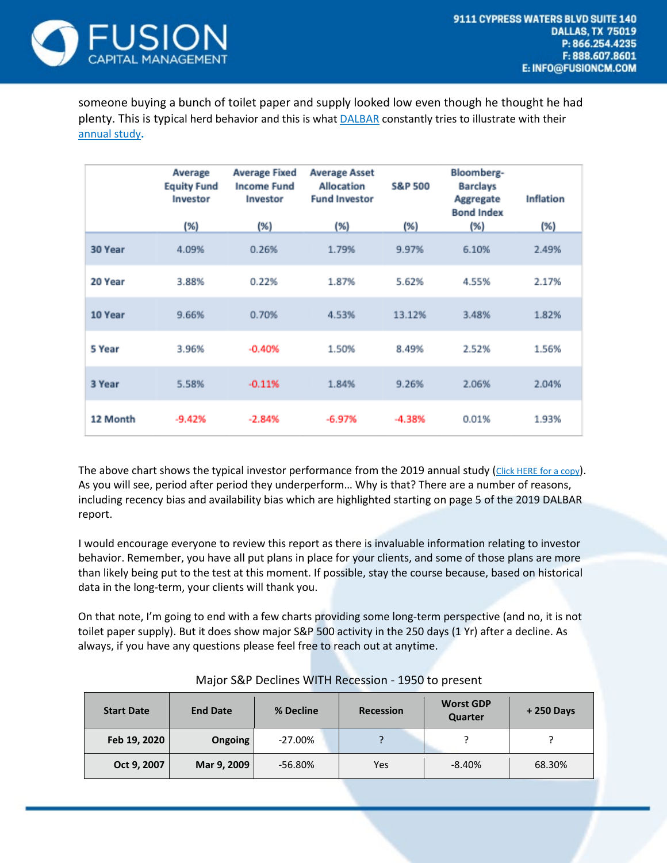

someone buying a bunch of toilet paper and supply looked low even though he thought he had plenty. This is typical herd behavior and this is what [DALBAR](https://fusioninvestmentadvisors.egnyte.com/dd/3oop5xVNXC) constantly tries to illustrate with their [annual](https://fusioninvestmentadvisors.egnyte.com/dd/3oop5xVNXC) study**.**

|          | Average<br><b>Equity Fund</b><br>Investor | <b>Average Fixed</b><br><b>Income Fund</b><br>Investor | <b>Average Asset</b><br><b>Allocation</b><br><b>Fund Investor</b> | <b>S&amp;P 500</b> | Bloomberg-<br><b>Barclays</b><br>Aggregate<br><b>Bond Index</b> | <b>Inflation</b> |
|----------|-------------------------------------------|--------------------------------------------------------|-------------------------------------------------------------------|--------------------|-----------------------------------------------------------------|------------------|
|          | (%)                                       | (% )                                                   | (%)                                                               | (%)                | (%)                                                             | (%)              |
| 30 Year  | 4.09%                                     | 0.26%                                                  | 1.79%                                                             | 9.97%              | 6.10%                                                           | 2.49%            |
| 20 Year  | 3.88%                                     | 0.22%                                                  | 1.87%                                                             | 5.62%              | 4.55%                                                           | 2.17%            |
| 10 Year  | 9.66%                                     | 0.70%                                                  | 4.53%                                                             | 13.12%             | 3.48%                                                           | 1.82%            |
| 5 Year   | 3.96%                                     | $-0.40%$                                               | 1.50%                                                             | 8.49%              | 2.52%                                                           | 1.56%            |
| 3 Year   | 5.58%                                     | $-0.11%$                                               | 1.84%                                                             | 9.26%              | 2.06%                                                           | 2.04%            |
| 12 Month | $-9.42%$                                  | $-2.84%$                                               | $-6.97%$                                                          | $-4.38%$           | 0.01%                                                           | 1.93%            |

The above chart shows the typical investor performance from the 2019 annual study [\(Click](https://fusioninvestmentadvisors.egnyte.com/dd/3oop5xVNXC) HERE for a copy). As you will see, period after period they underperform… Why is that? There are a number of reasons, including recency bias and availability bias which are highlighted starting on page 5 of the 2019 DALBAR report.

I would encourage everyone to review this report as there is invaluable information relating to investor behavior. Remember, you have all put plans in place for your clients, and some of those plans are more than likely being put to the test at this moment. If possible, stay the course because, based on historical data in the long-term, your clients will thank you.

On that note, I'm going to end with a few charts providing some long-term perspective (and no, it is not toilet paper supply). But it does show major S&P 500 activity in the 250 days (1 Yr) after a decline. As always, if you have any questions please feel free to reach out at anytime.

| <b>Start Date</b> | <b>End Date</b> | % Decline  | <b>Recession</b> | <b>Worst GDP</b><br>Quarter | $+250$ Days |
|-------------------|-----------------|------------|------------------|-----------------------------|-------------|
| Feb 19, 2020      | Ongoing         | $-27.00\%$ |                  |                             |             |
| Oct 9, 2007       | Mar 9, 2009     | $-56.80%$  | Yes              | $-8.40%$                    | 68.30%      |

Major S&P Declines WITH Recession - 1950 to present